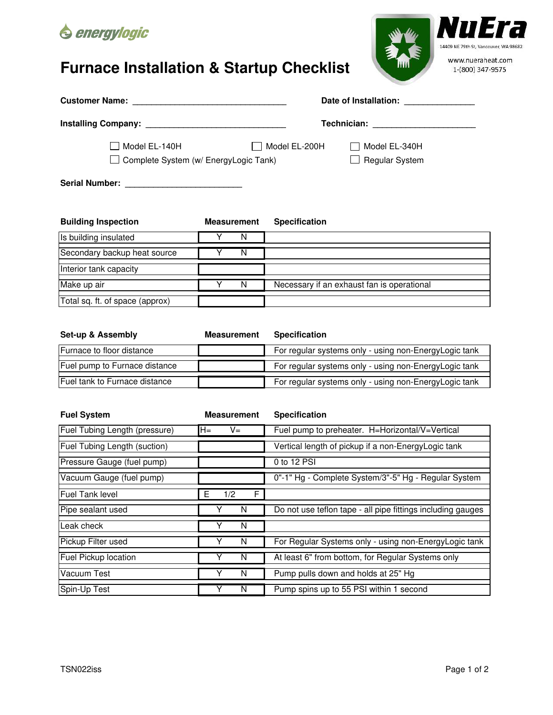

## **Furnace Installation & Startup Checklist**



|                                                        |                    |                      | Date of Installation: Date of Installation: |  |  |
|--------------------------------------------------------|--------------------|----------------------|---------------------------------------------|--|--|
|                                                        |                    |                      | Technician: Technician                      |  |  |
| Model EL-140H<br>Complete System (w/ EnergyLogic Tank) |                    | Model EL-200H        | Model EL-340H<br><b>Regular System</b>      |  |  |
|                                                        |                    |                      |                                             |  |  |
| <b>Building Inspection</b>                             | <b>Measurement</b> | <b>Specification</b> |                                             |  |  |
| Is building insulated                                  | N                  |                      |                                             |  |  |
| Secondary backup heat source                           | N                  |                      |                                             |  |  |
| Interior tank capacity                                 |                    |                      |                                             |  |  |
| Make up air                                            | N                  |                      | Necessary if an exhaust fan is operational  |  |  |
| Total sq. ft. of space (approx)                        |                    |                      |                                             |  |  |

| <b>Set-up &amp; Assembly</b>          | <b>Measurement</b> | <b>Specification</b>                                  |
|---------------------------------------|--------------------|-------------------------------------------------------|
| Furnace to floor distance             |                    | For regular systems only - using non-EnergyLogic tank |
| Fuel pump to Furnace distance         |                    | For regular systems only - using non-EnergyLogic tank |
| <b>IFuel tank to Furnace distance</b> |                    | For regular systems only - using non-EnergyLogic tank |

| <b>Fuel System</b>            | <b>Measurement</b> | <b>Specification</b>                                        |
|-------------------------------|--------------------|-------------------------------------------------------------|
| Fuel Tubing Length (pressure) | H=<br>V=           | Fuel pump to preheater. H=Horizontal/V=Vertical             |
| Fuel Tubing Length (suction)  |                    | Vertical length of pickup if a non-EnergyLogic tank         |
| Pressure Gauge (fuel pump)    |                    | 0 to 12 PSI                                                 |
| Vacuum Gauge (fuel pump)      |                    | 0"-1" Hg - Complete System/3"-5" Hg - Regular System        |
| <b>Fuel Tank level</b>        | 1/2<br>Е<br>F      |                                                             |
| Pipe sealant used             | Y<br>N             | Do not use teflon tape - all pipe fittings including gauges |
| Leak check                    | Υ<br>N             |                                                             |
| Pickup Filter used            | N                  | For Regular Systems only - using non-EnergyLogic tank       |
| Fuel Pickup location          | N                  | At least 6" from bottom, for Regular Systems only           |
| Vacuum Test                   | Y<br>N             | Pump pulls down and holds at 25" Hg                         |
| Spin-Up Test                  | N                  | Pump spins up to 55 PSI within 1 second                     |